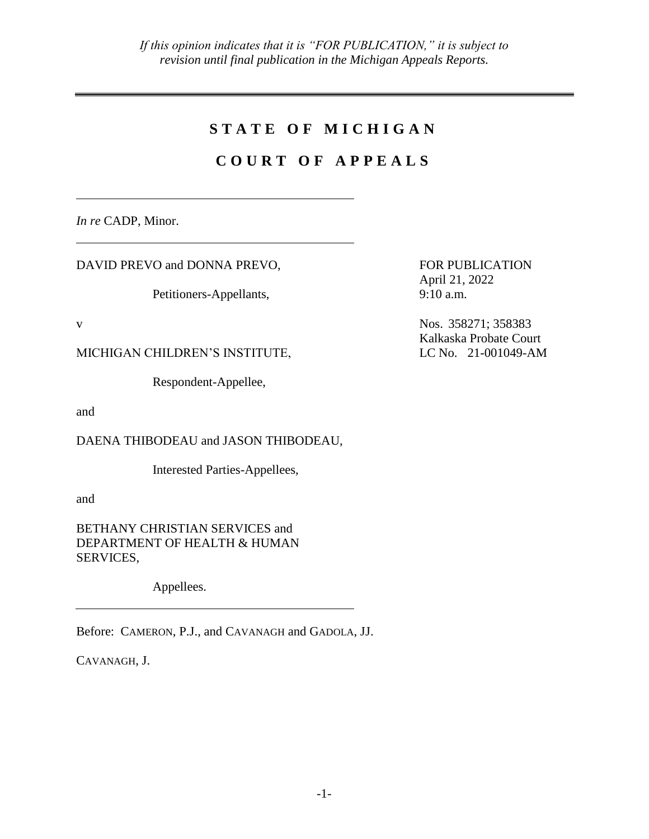## **S T A T E O F M I C H I G A N**

# **C O U R T O F A P P E A L S**

*In re* CADP, Minor.

DAVID PREVO and DONNA PREVO,

Petitioners-Appellants,

MICHIGAN CHILDREN'S INSTITUTE, LC No. 21-001049-AM

Respondent-Appellee,

and

DAENA THIBODEAU and JASON THIBODEAU,

Interested Parties-Appellees,

and

BETHANY CHRISTIAN SERVICES and DEPARTMENT OF HEALTH & HUMAN SERVICES,

Appellees.

Before: CAMERON, P.J., and CAVANAGH and GADOLA, JJ.

CAVANAGH, J.

FOR PUBLICATION April 21, 2022  $9:10$  a.m.

v Nos. 358271; 358383 Kalkaska Probate Court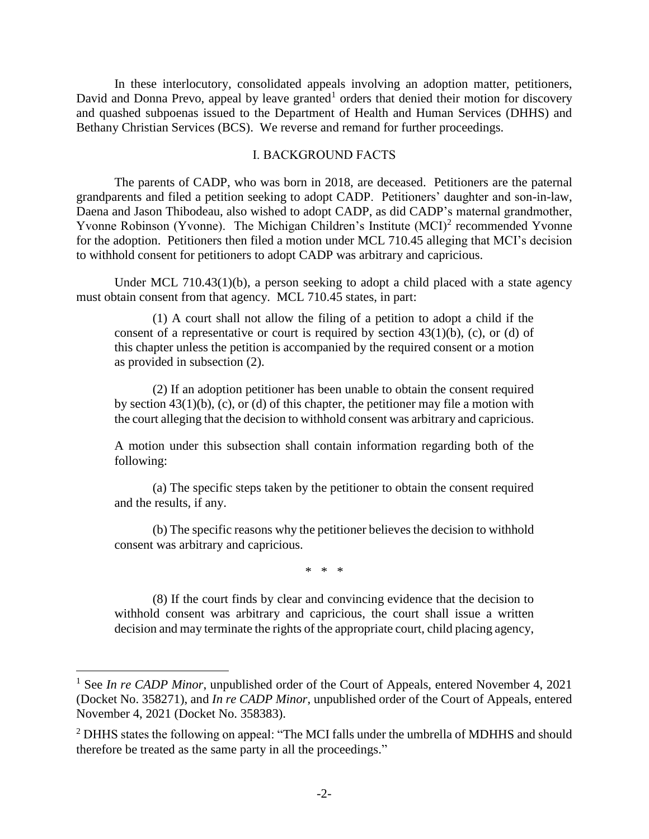In these interlocutory, consolidated appeals involving an adoption matter, petitioners, David and Donna Prevo, appeal by leave granted<sup>1</sup> orders that denied their motion for discovery and quashed subpoenas issued to the Department of Health and Human Services (DHHS) and Bethany Christian Services (BCS). We reverse and remand for further proceedings.

### I. BACKGROUND FACTS

The parents of CADP, who was born in 2018, are deceased. Petitioners are the paternal grandparents and filed a petition seeking to adopt CADP. Petitioners' daughter and son-in-law, Daena and Jason Thibodeau, also wished to adopt CADP, as did CADP's maternal grandmother, Yvonne Robinson (Yvonne). The Michigan Children's Institute  $(MCI)^2$  recommended Yvonne for the adoption. Petitioners then filed a motion under MCL 710.45 alleging that MCI's decision to withhold consent for petitioners to adopt CADP was arbitrary and capricious.

Under MCL 710.43(1)(b), a person seeking to adopt a child placed with a state agency must obtain consent from that agency. MCL 710.45 states, in part:

(1) A court shall not allow the filing of a petition to adopt a child if the consent of a representative or court is required by section  $43(1)(b)$ , (c), or (d) of this chapter unless the petition is accompanied by the required consent or a motion as provided in subsection (2).

(2) If an adoption petitioner has been unable to obtain the consent required by section 43(1)(b), (c), or (d) of this chapter, the petitioner may file a motion with the court alleging that the decision to withhold consent was arbitrary and capricious.

A motion under this subsection shall contain information regarding both of the following:

(a) The specific steps taken by the petitioner to obtain the consent required and the results, if any.

(b) The specific reasons why the petitioner believes the decision to withhold consent was arbitrary and capricious.

\* \* \*

(8) If the court finds by clear and convincing evidence that the decision to withhold consent was arbitrary and capricious, the court shall issue a written decision and may terminate the rights of the appropriate court, child placing agency,

<sup>&</sup>lt;sup>1</sup> See *In re CADP Minor*, unpublished order of the Court of Appeals, entered November 4, 2021 (Docket No. 358271), and *In re CADP Minor*, unpublished order of the Court of Appeals, entered November 4, 2021 (Docket No. 358383).

<sup>&</sup>lt;sup>2</sup> DHHS states the following on appeal: "The MCI falls under the umbrella of MDHHS and should therefore be treated as the same party in all the proceedings."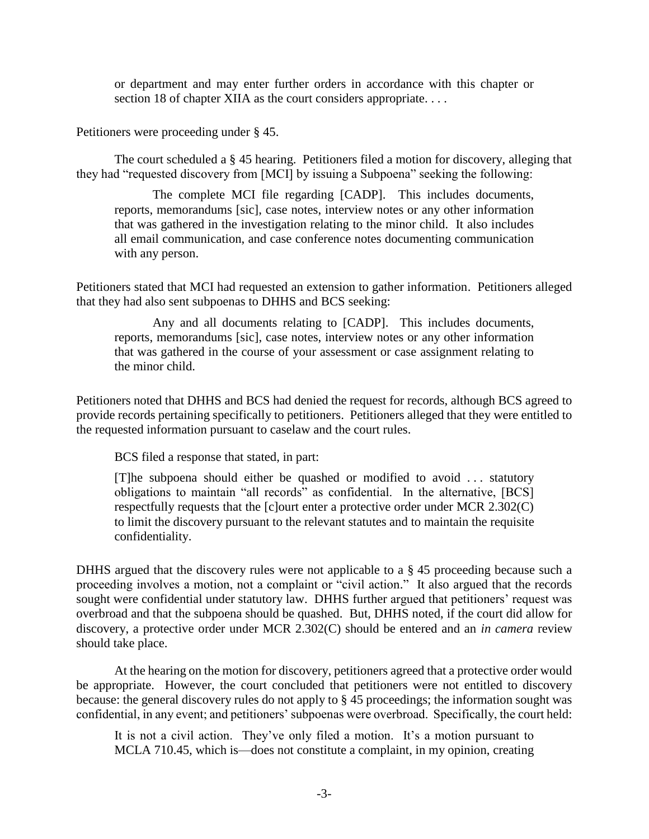or department and may enter further orders in accordance with this chapter or section 18 of chapter XIIA as the court considers appropriate....

Petitioners were proceeding under § 45.

The court scheduled a § 45 hearing. Petitioners filed a motion for discovery, alleging that they had "requested discovery from [MCI] by issuing a Subpoena" seeking the following:

The complete MCI file regarding [CADP]. This includes documents, reports, memorandums [sic], case notes, interview notes or any other information that was gathered in the investigation relating to the minor child. It also includes all email communication, and case conference notes documenting communication with any person.

Petitioners stated that MCI had requested an extension to gather information. Petitioners alleged that they had also sent subpoenas to DHHS and BCS seeking:

Any and all documents relating to [CADP]. This includes documents, reports, memorandums [sic], case notes, interview notes or any other information that was gathered in the course of your assessment or case assignment relating to the minor child.

Petitioners noted that DHHS and BCS had denied the request for records, although BCS agreed to provide records pertaining specifically to petitioners. Petitioners alleged that they were entitled to the requested information pursuant to caselaw and the court rules.

BCS filed a response that stated, in part:

[T]he subpoena should either be quashed or modified to avoid . . . statutory obligations to maintain "all records" as confidential. In the alternative, [BCS] respectfully requests that the [c]ourt enter a protective order under MCR 2.302(C) to limit the discovery pursuant to the relevant statutes and to maintain the requisite confidentiality.

DHHS argued that the discovery rules were not applicable to a § 45 proceeding because such a proceeding involves a motion, not a complaint or "civil action." It also argued that the records sought were confidential under statutory law. DHHS further argued that petitioners' request was overbroad and that the subpoena should be quashed. But, DHHS noted, if the court did allow for discovery, a protective order under MCR 2.302(C) should be entered and an *in camera* review should take place.

At the hearing on the motion for discovery, petitioners agreed that a protective order would be appropriate. However, the court concluded that petitioners were not entitled to discovery because: the general discovery rules do not apply to § 45 proceedings; the information sought was confidential, in any event; and petitioners' subpoenas were overbroad. Specifically, the court held:

It is not a civil action. They've only filed a motion. It's a motion pursuant to MCLA 710.45, which is—does not constitute a complaint, in my opinion, creating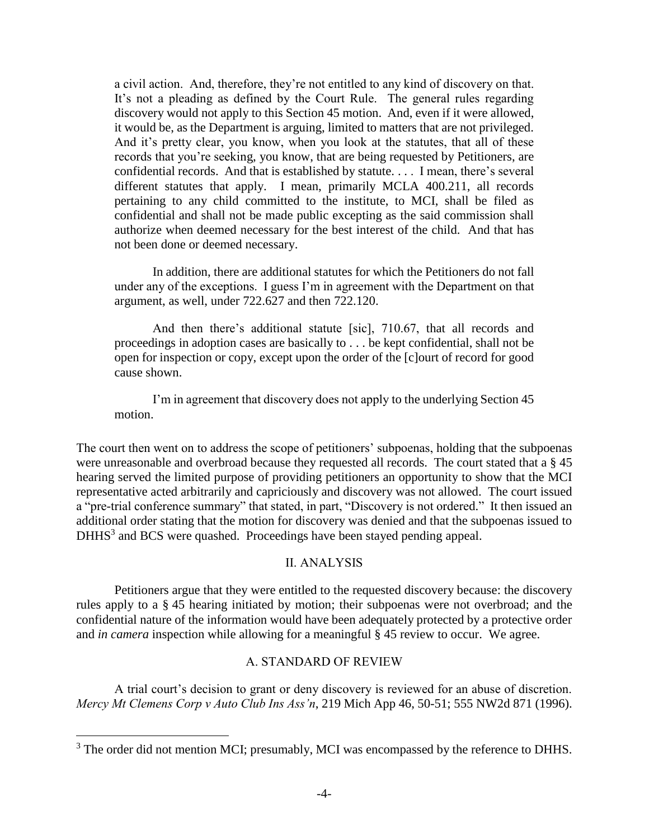a civil action. And, therefore, they're not entitled to any kind of discovery on that. It's not a pleading as defined by the Court Rule. The general rules regarding discovery would not apply to this Section 45 motion. And, even if it were allowed, it would be, as the Department is arguing, limited to matters that are not privileged. And it's pretty clear, you know, when you look at the statutes, that all of these records that you're seeking, you know, that are being requested by Petitioners, are confidential records. And that is established by statute. . . . I mean, there's several different statutes that apply. I mean, primarily MCLA 400.211, all records pertaining to any child committed to the institute, to MCI, shall be filed as confidential and shall not be made public excepting as the said commission shall authorize when deemed necessary for the best interest of the child. And that has not been done or deemed necessary.

In addition, there are additional statutes for which the Petitioners do not fall under any of the exceptions. I guess I'm in agreement with the Department on that argument, as well, under 722.627 and then 722.120.

And then there's additional statute [sic], 710.67, that all records and proceedings in adoption cases are basically to . . . be kept confidential, shall not be open for inspection or copy, except upon the order of the [c]ourt of record for good cause shown.

I'm in agreement that discovery does not apply to the underlying Section 45 motion.

The court then went on to address the scope of petitioners' subpoenas, holding that the subpoenas were unreasonable and overbroad because they requested all records. The court stated that a § 45 hearing served the limited purpose of providing petitioners an opportunity to show that the MCI representative acted arbitrarily and capriciously and discovery was not allowed. The court issued a "pre-trial conference summary" that stated, in part, "Discovery is not ordered." It then issued an additional order stating that the motion for discovery was denied and that the subpoenas issued to DHHS<sup>3</sup> and BCS were quashed. Proceedings have been stayed pending appeal.

## II. ANALYSIS

Petitioners argue that they were entitled to the requested discovery because: the discovery rules apply to a § 45 hearing initiated by motion; their subpoenas were not overbroad; and the confidential nature of the information would have been adequately protected by a protective order and *in camera* inspection while allowing for a meaningful § 45 review to occur. We agree.

### A. STANDARD OF REVIEW

A trial court's decision to grant or deny discovery is reviewed for an abuse of discretion. *Mercy Mt Clemens Corp v Auto Club Ins Ass'n*, 219 Mich App 46, 50-51; 555 NW2d 871 (1996).

<sup>&</sup>lt;sup>3</sup> The order did not mention MCI; presumably, MCI was encompassed by the reference to DHHS.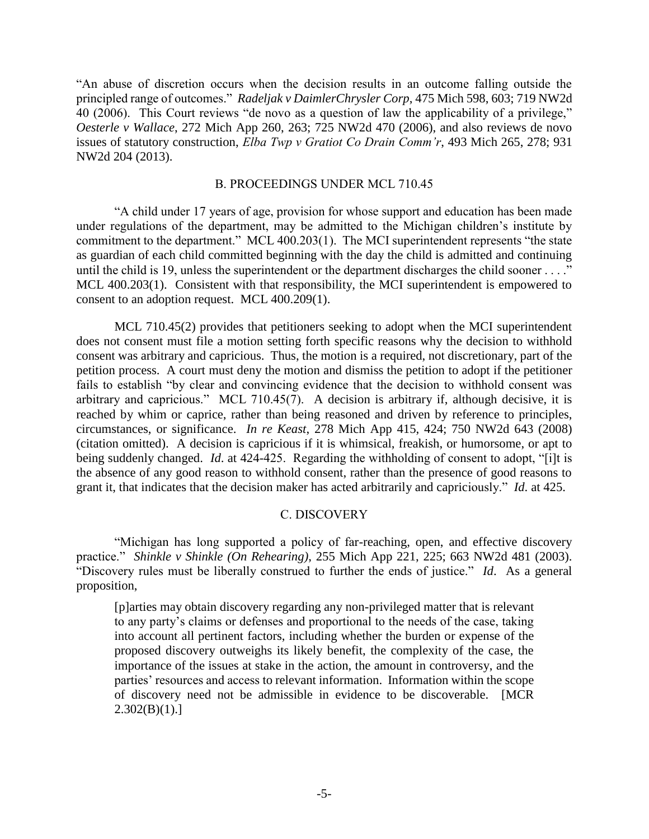"An abuse of discretion occurs when the decision results in an outcome falling outside the principled range of outcomes." *Radeljak v DaimlerChrysler Corp*, 475 Mich 598, 603; 719 NW2d 40 (2006). This Court reviews "de novo as a question of law the applicability of a privilege," *Oesterle v Wallace*, 272 Mich App 260, 263; 725 NW2d 470 (2006), and also reviews de novo issues of statutory construction, *Elba Twp v Gratiot Co Drain Comm'r*, 493 Mich 265, 278; 931 NW2d 204 (2013).

#### B. PROCEEDINGS UNDER MCL 710.45

"A child under 17 years of age, provision for whose support and education has been made under regulations of the department, may be admitted to the Michigan children's institute by commitment to the department." MCL 400.203(1). The MCI superintendent represents "the state as guardian of each child committed beginning with the day the child is admitted and continuing until the child is 19, unless the superintendent or the department discharges the child sooner . . . ." MCL 400.203(1). Consistent with that responsibility, the MCI superintendent is empowered to consent to an adoption request. MCL 400.209(1).

MCL 710.45(2) provides that petitioners seeking to adopt when the MCI superintendent does not consent must file a motion setting forth specific reasons why the decision to withhold consent was arbitrary and capricious. Thus, the motion is a required, not discretionary, part of the petition process. A court must deny the motion and dismiss the petition to adopt if the petitioner fails to establish "by clear and convincing evidence that the decision to withhold consent was arbitrary and capricious." MCL 710.45(7). A decision is arbitrary if, although decisive, it is reached by whim or caprice, rather than being reasoned and driven by reference to principles, circumstances, or significance. *In re Keast*, 278 Mich App 415, 424; 750 NW2d 643 (2008) (citation omitted). A decision is capricious if it is whimsical, freakish, or humorsome, or apt to being suddenly changed. *Id*. at 424-425. Regarding the withholding of consent to adopt, "[i]t is the absence of any good reason to withhold consent, rather than the presence of good reasons to grant it, that indicates that the decision maker has acted arbitrarily and capriciously." *Id*. at 425.

## C. DISCOVERY

"Michigan has long supported a policy of far-reaching, open, and effective discovery practice." *Shinkle v Shinkle (On Rehearing)*, 255 Mich App 221, 225; 663 NW2d 481 (2003). "Discovery rules must be liberally construed to further the ends of justice." *Id*. As a general proposition,

[p]arties may obtain discovery regarding any non-privileged matter that is relevant to any party's claims or defenses and proportional to the needs of the case, taking into account all pertinent factors, including whether the burden or expense of the proposed discovery outweighs its likely benefit, the complexity of the case, the importance of the issues at stake in the action, the amount in controversy, and the parties' resources and access to relevant information. Information within the scope of discovery need not be admissible in evidence to be discoverable. [MCR  $2.302(B)(1).$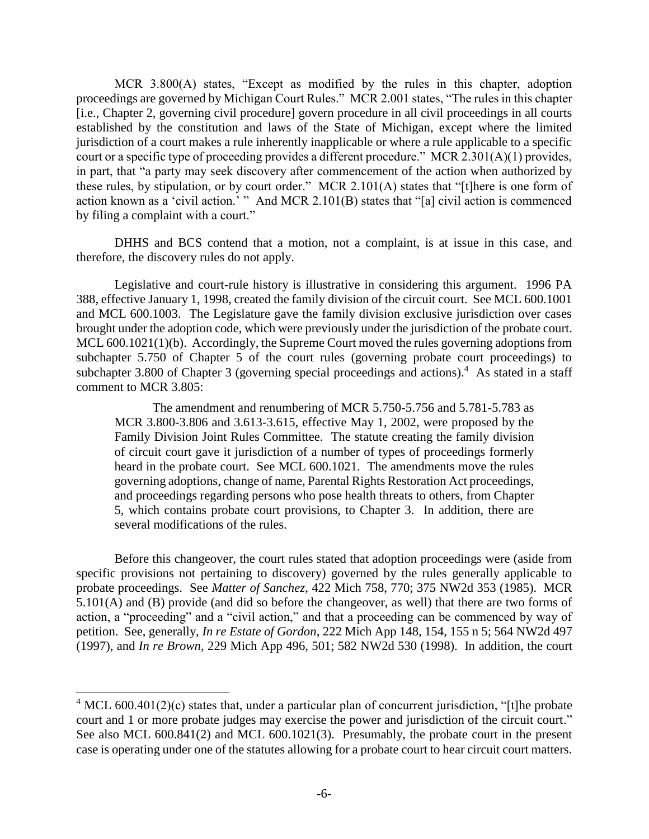MCR 3.800(A) states, "Except as modified by the rules in this chapter, adoption proceedings are governed by Michigan Court Rules." MCR 2.001 states, "The rules in this chapter [i.e., Chapter 2, governing civil procedure] govern procedure in all civil proceedings in all courts established by the constitution and laws of the State of Michigan, except where the limited jurisdiction of a court makes a rule inherently inapplicable or where a rule applicable to a specific court or a specific type of proceeding provides a different procedure." MCR 2.301(A)(1) provides, in part, that "a party may seek discovery after commencement of the action when authorized by these rules, by stipulation, or by court order." MCR 2.101(A) states that "[t]here is one form of action known as a 'civil action.' " And MCR 2.101(B) states that "[a] civil action is commenced by filing a complaint with a court."

DHHS and BCS contend that a motion, not a complaint, is at issue in this case, and therefore, the discovery rules do not apply.

Legislative and court-rule history is illustrative in considering this argument. 1996 PA 388, effective January 1, 1998, created the family division of the circuit court. See MCL 600.1001 and MCL 600.1003. The Legislature gave the family division exclusive jurisdiction over cases brought under the adoption code, which were previously under the jurisdiction of the probate court. MCL 600.1021(1)(b). Accordingly, the Supreme Court moved the rules governing adoptions from subchapter 5.750 of Chapter 5 of the court rules (governing probate court proceedings) to subchapter 3.800 of Chapter 3 (governing special proceedings and actions).<sup>4</sup> As stated in a staff comment to MCR 3.805:

The amendment and renumbering of MCR 5.750-5.756 and 5.781-5.783 as MCR 3.800-3.806 and 3.613-3.615, effective May 1, 2002, were proposed by the Family Division Joint Rules Committee. The statute creating the family division of circuit court gave it jurisdiction of a number of types of proceedings formerly heard in the probate court. See MCL 600.1021. The amendments move the rules governing adoptions, change of name, Parental Rights Restoration Act proceedings, and proceedings regarding persons who pose health threats to others, from Chapter 5, which contains probate court provisions, to Chapter 3. In addition, there are several modifications of the rules.

Before this changeover, the court rules stated that adoption proceedings were (aside from specific provisions not pertaining to discovery) governed by the rules generally applicable to probate proceedings. See *Matter of Sanchez*, 422 Mich 758, 770; 375 NW2d 353 (1985). MCR 5.101(A) and (B) provide (and did so before the changeover, as well) that there are two forms of action, a "proceeding" and a "civil action," and that a proceeding can be commenced by way of petition. See, generally, *In re Estate of Gordon*, 222 Mich App 148, 154, 155 n 5; 564 NW2d 497 (1997), and *In re Brown*, 229 Mich App 496, 501; 582 NW2d 530 (1998). In addition, the court

 $4 \text{ MCL } 600.401(2)(c)$  states that, under a particular plan of concurrent jurisdiction, "[t]he probate court and 1 or more probate judges may exercise the power and jurisdiction of the circuit court." See also MCL 600.841(2) and MCL 600.1021(3). Presumably, the probate court in the present case is operating under one of the statutes allowing for a probate court to hear circuit court matters.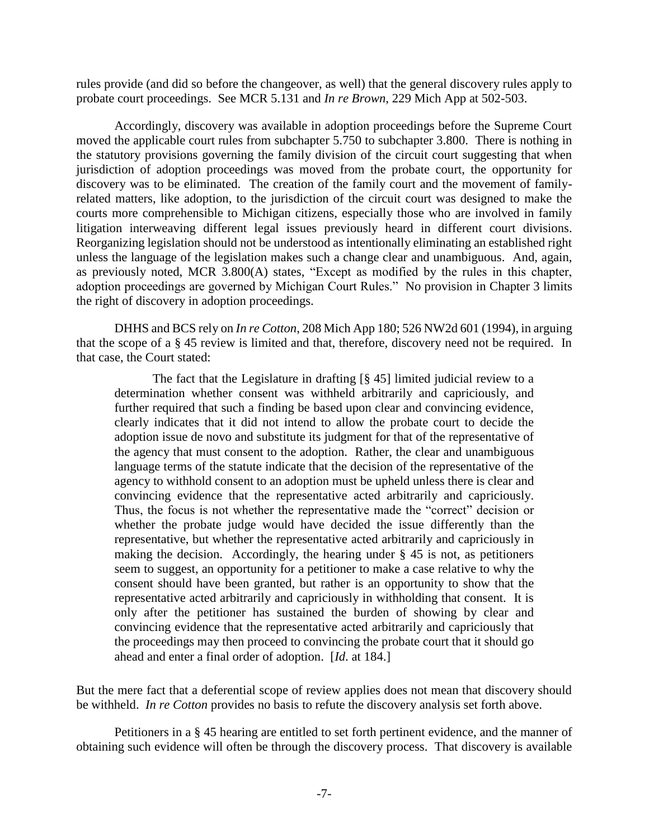rules provide (and did so before the changeover, as well) that the general discovery rules apply to probate court proceedings. See MCR 5.131 and *In re Brown*, 229 Mich App at 502-503.

Accordingly, discovery was available in adoption proceedings before the Supreme Court moved the applicable court rules from subchapter 5.750 to subchapter 3.800. There is nothing in the statutory provisions governing the family division of the circuit court suggesting that when jurisdiction of adoption proceedings was moved from the probate court, the opportunity for discovery was to be eliminated. The creation of the family court and the movement of familyrelated matters, like adoption, to the jurisdiction of the circuit court was designed to make the courts more comprehensible to Michigan citizens, especially those who are involved in family litigation interweaving different legal issues previously heard in different court divisions. Reorganizing legislation should not be understood as intentionally eliminating an established right unless the language of the legislation makes such a change clear and unambiguous. And, again, as previously noted, MCR 3.800(A) states, "Except as modified by the rules in this chapter, adoption proceedings are governed by Michigan Court Rules." No provision in Chapter 3 limits the right of discovery in adoption proceedings.

DHHS and BCS rely on *In re Cotton*, 208 Mich App 180; 526 NW2d 601 (1994), in arguing that the scope of a § 45 review is limited and that, therefore, discovery need not be required. In that case, the Court stated:

The fact that the Legislature in drafting [§ 45] limited judicial review to a determination whether consent was withheld arbitrarily and capriciously, and further required that such a finding be based upon clear and convincing evidence, clearly indicates that it did not intend to allow the probate court to decide the adoption issue de novo and substitute its judgment for that of the representative of the agency that must consent to the adoption. Rather, the clear and unambiguous language terms of the statute indicate that the decision of the representative of the agency to withhold consent to an adoption must be upheld unless there is clear and convincing evidence that the representative acted arbitrarily and capriciously. Thus, the focus is not whether the representative made the "correct" decision or whether the probate judge would have decided the issue differently than the representative, but whether the representative acted arbitrarily and capriciously in making the decision. Accordingly, the hearing under  $\S$  45 is not, as petitioners seem to suggest, an opportunity for a petitioner to make a case relative to why the consent should have been granted, but rather is an opportunity to show that the representative acted arbitrarily and capriciously in withholding that consent. It is only after the petitioner has sustained the burden of showing by clear and convincing evidence that the representative acted arbitrarily and capriciously that the proceedings may then proceed to convincing the probate court that it should go ahead and enter a final order of adoption. [*Id*. at 184.]

But the mere fact that a deferential scope of review applies does not mean that discovery should be withheld. *In re Cotton* provides no basis to refute the discovery analysis set forth above.

Petitioners in a § 45 hearing are entitled to set forth pertinent evidence, and the manner of obtaining such evidence will often be through the discovery process. That discovery is available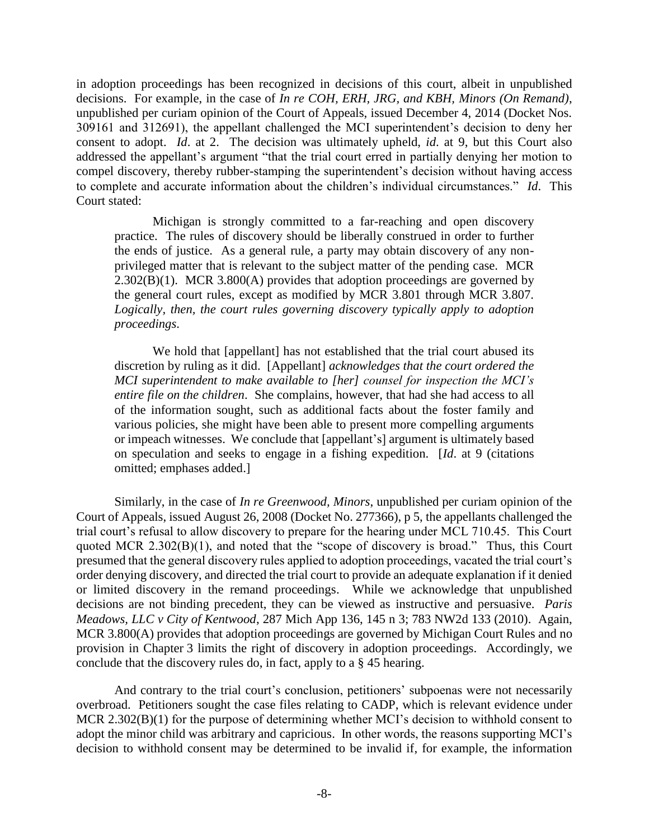in adoption proceedings has been recognized in decisions of this court, albeit in unpublished decisions. For example, in the case of *In re COH, ERH, JRG, and KBH, Minors (On Remand)*, unpublished per curiam opinion of the Court of Appeals, issued December 4, 2014 (Docket Nos. 309161 and 312691), the appellant challenged the MCI superintendent's decision to deny her consent to adopt. *Id*. at 2. The decision was ultimately upheld, *id*. at 9, but this Court also addressed the appellant's argument "that the trial court erred in partially denying her motion to compel discovery, thereby rubber-stamping the superintendent's decision without having access to complete and accurate information about the children's individual circumstances." *Id*. This Court stated:

Michigan is strongly committed to a far-reaching and open discovery practice. The rules of discovery should be liberally construed in order to further the ends of justice. As a general rule, a party may obtain discovery of any nonprivileged matter that is relevant to the subject matter of the pending case. MCR  $2.302(B)(1)$ . MCR 3.800(A) provides that adoption proceedings are governed by the general court rules, except as modified by MCR 3.801 through MCR 3.807. *Logically, then, the court rules governing discovery typically apply to adoption proceedings*.

We hold that [appellant] has not established that the trial court abused its discretion by ruling as it did. [Appellant] *acknowledges that the court ordered the MCI superintendent to make available to [her] counsel for inspection the MCI's entire file on the children*. She complains, however, that had she had access to all of the information sought, such as additional facts about the foster family and various policies, she might have been able to present more compelling arguments or impeach witnesses. We conclude that [appellant's] argument is ultimately based on speculation and seeks to engage in a fishing expedition. [*Id*. at 9 (citations omitted; emphases added.]

Similarly, in the case of *In re Greenwood, Minors*, unpublished per curiam opinion of the Court of Appeals, issued August 26, 2008 (Docket No. 277366), p 5, the appellants challenged the trial court's refusal to allow discovery to prepare for the hearing under MCL 710.45. This Court quoted MCR 2.302(B)(1), and noted that the "scope of discovery is broad." Thus, this Court presumed that the general discovery rules applied to adoption proceedings, vacated the trial court's order denying discovery, and directed the trial court to provide an adequate explanation if it denied or limited discovery in the remand proceedings. While we acknowledge that unpublished decisions are not binding precedent, they can be viewed as instructive and persuasive. *Paris Meadows, LLC v City of Kentwood*, 287 Mich App 136, 145 n 3; 783 NW2d 133 (2010). Again, MCR 3.800(A) provides that adoption proceedings are governed by Michigan Court Rules and no provision in Chapter 3 limits the right of discovery in adoption proceedings. Accordingly, we conclude that the discovery rules do, in fact, apply to a § 45 hearing.

And contrary to the trial court's conclusion, petitioners' subpoenas were not necessarily overbroad. Petitioners sought the case files relating to CADP, which is relevant evidence under MCR 2.302(B)(1) for the purpose of determining whether MCI's decision to withhold consent to adopt the minor child was arbitrary and capricious. In other words, the reasons supporting MCI's decision to withhold consent may be determined to be invalid if, for example, the information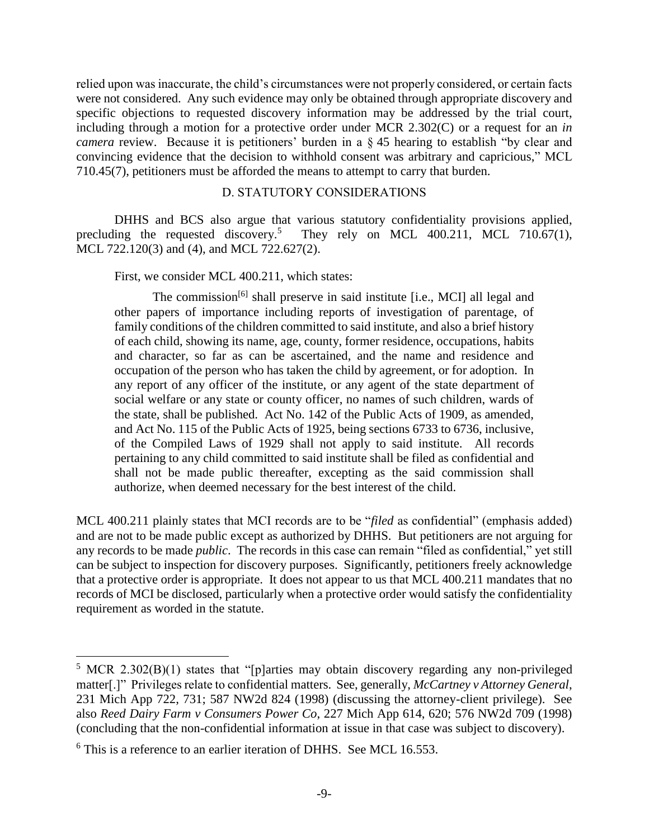relied upon was inaccurate, the child's circumstances were not properly considered, or certain facts were not considered. Any such evidence may only be obtained through appropriate discovery and specific objections to requested discovery information may be addressed by the trial court, including through a motion for a protective order under MCR 2.302(C) or a request for an *in camera* review. Because it is petitioners' burden in a § 45 hearing to establish "by clear and convincing evidence that the decision to withhold consent was arbitrary and capricious," MCL 710.45(7), petitioners must be afforded the means to attempt to carry that burden.

## D. STATUTORY CONSIDERATIONS

DHHS and BCS also argue that various statutory confidentiality provisions applied, precluding the requested discovery.<sup>5</sup> They rely on MCL 400.211, MCL 710.67(1), MCL 722.120(3) and (4), and MCL 722.627(2).

First, we consider MCL 400.211, which states:

The commission<sup>[6]</sup> shall preserve in said institute [i.e., MCI] all legal and other papers of importance including reports of investigation of parentage, of family conditions of the children committed to said institute, and also a brief history of each child, showing its name, age, county, former residence, occupations, habits and character, so far as can be ascertained, and the name and residence and occupation of the person who has taken the child by agreement, or for adoption. In any report of any officer of the institute, or any agent of the state department of social welfare or any state or county officer, no names of such children, wards of the state, shall be published. Act No. 142 of the Public Acts of 1909, as amended, and Act No. 115 of the Public Acts of 1925, being sections 6733 to 6736, inclusive, of the Compiled Laws of 1929 shall not apply to said institute. All records pertaining to any child committed to said institute shall be filed as confidential and shall not be made public thereafter, excepting as the said commission shall authorize, when deemed necessary for the best interest of the child.

MCL 400.211 plainly states that MCI records are to be "*filed* as confidential" (emphasis added) and are not to be made public except as authorized by DHHS. But petitioners are not arguing for any records to be made *public*. The records in this case can remain "filed as confidential," yet still can be subject to inspection for discovery purposes. Significantly, petitioners freely acknowledge that a protective order is appropriate. It does not appear to us that MCL 400.211 mandates that no records of MCI be disclosed, particularly when a protective order would satisfy the confidentiality requirement as worded in the statute.

 $5$  MCR 2.302(B)(1) states that "[p]arties may obtain discovery regarding any non-privileged matter[.]" Privileges relate to confidential matters. See, generally, *McCartney v Attorney General*, 231 Mich App 722, 731; 587 NW2d 824 (1998) (discussing the attorney-client privilege). See also *Reed Dairy Farm v Consumers Power Co*, 227 Mich App 614, 620; 576 NW2d 709 (1998) (concluding that the non-confidential information at issue in that case was subject to discovery).

 $6$  This is a reference to an earlier iteration of DHHS. See MCL 16.553.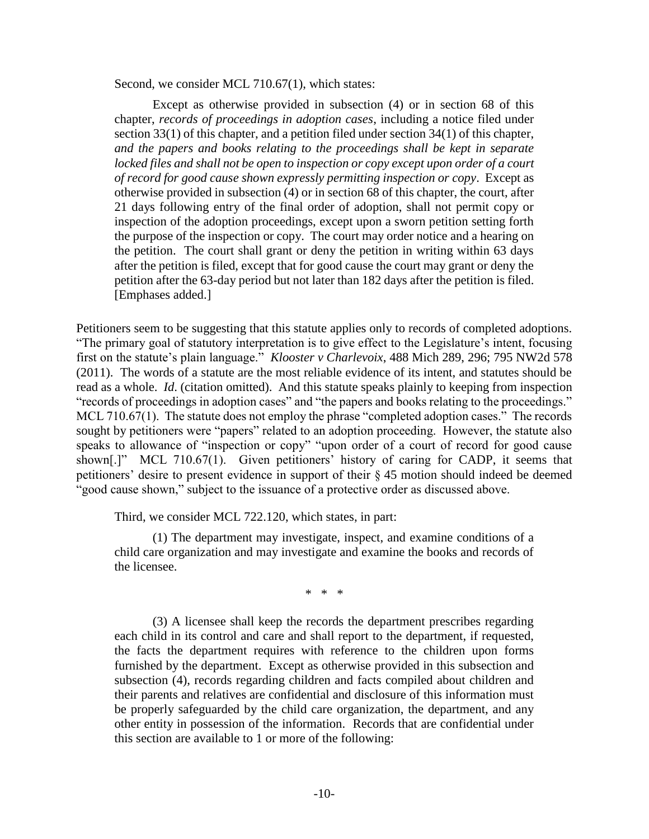Second, we consider MCL 710.67(1), which states:

Except as otherwise provided in subsection (4) or in section 68 of this chapter, *records of proceedings in adoption cases*, including a notice filed under section 33(1) of this chapter, and a petition filed under section 34(1) of this chapter, *and the papers and books relating to the proceedings shall be kept in separate*  locked files and shall not be open to inspection or copy except upon order of a court *of record for good cause shown expressly permitting inspection or copy*. Except as otherwise provided in subsection (4) or in section 68 of this chapter, the court, after 21 days following entry of the final order of adoption, shall not permit copy or inspection of the adoption proceedings, except upon a sworn petition setting forth the purpose of the inspection or copy. The court may order notice and a hearing on the petition. The court shall grant or deny the petition in writing within 63 days after the petition is filed, except that for good cause the court may grant or deny the petition after the 63-day period but not later than 182 days after the petition is filed. [Emphases added.]

Petitioners seem to be suggesting that this statute applies only to records of completed adoptions. "The primary goal of statutory interpretation is to give effect to the Legislature's intent, focusing first on the statute's plain language." *Klooster v Charlevoix*, 488 Mich 289, 296; 795 NW2d 578 (2011). The words of a statute are the most reliable evidence of its intent, and statutes should be read as a whole. *Id*. (citation omitted). And this statute speaks plainly to keeping from inspection "records of proceedings in adoption cases" and "the papers and books relating to the proceedings." MCL 710.67(1). The statute does not employ the phrase "completed adoption cases." The records sought by petitioners were "papers" related to an adoption proceeding. However, the statute also speaks to allowance of "inspection or copy" "upon order of a court of record for good cause shown[.]" MCL 710.67(1). Given petitioners' history of caring for CADP, it seems that petitioners' desire to present evidence in support of their § 45 motion should indeed be deemed "good cause shown," subject to the issuance of a protective order as discussed above.

Third, we consider MCL 722.120, which states, in part:

(1) The department may investigate, inspect, and examine conditions of a child care organization and may investigate and examine the books and records of the licensee.

\* \* \*

(3) A licensee shall keep the records the department prescribes regarding each child in its control and care and shall report to the department, if requested, the facts the department requires with reference to the children upon forms furnished by the department. Except as otherwise provided in this subsection and subsection (4), records regarding children and facts compiled about children and their parents and relatives are confidential and disclosure of this information must be properly safeguarded by the child care organization, the department, and any other entity in possession of the information. Records that are confidential under this section are available to 1 or more of the following: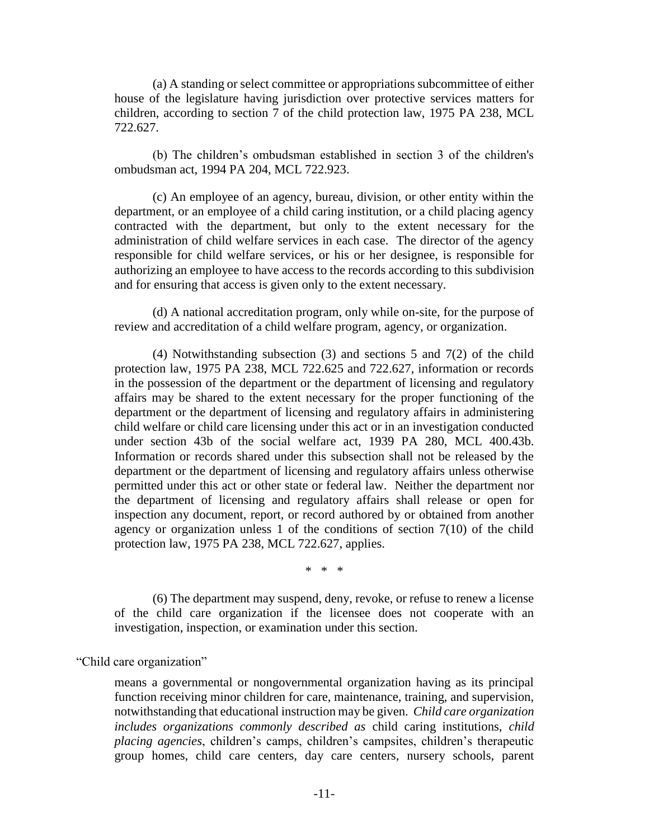(a) A standing or select committee or appropriations subcommittee of either house of the legislature having jurisdiction over protective services matters for children, according to section 7 of the child protection law, 1975 PA 238, MCL 722.627.

(b) The children's ombudsman established in section 3 of the children's ombudsman act, 1994 PA 204, MCL 722.923.

(c) An employee of an agency, bureau, division, or other entity within the department, or an employee of a child caring institution, or a child placing agency contracted with the department, but only to the extent necessary for the administration of child welfare services in each case. The director of the agency responsible for child welfare services, or his or her designee, is responsible for authorizing an employee to have access to the records according to this subdivision and for ensuring that access is given only to the extent necessary.

(d) A national accreditation program, only while on-site, for the purpose of review and accreditation of a child welfare program, agency, or organization.

(4) Notwithstanding subsection (3) and sections 5 and 7(2) of the child protection law, 1975 PA 238, MCL 722.625 and 722.627, information or records in the possession of the department or the department of licensing and regulatory affairs may be shared to the extent necessary for the proper functioning of the department or the department of licensing and regulatory affairs in administering child welfare or child care licensing under this act or in an investigation conducted under section 43b of the social welfare act, 1939 PA 280, MCL 400.43b. Information or records shared under this subsection shall not be released by the department or the department of licensing and regulatory affairs unless otherwise permitted under this act or other state or federal law.Neither the department nor the department of licensing and regulatory affairs shall release or open for inspection any document, report, or record authored by or obtained from another agency or organization unless 1 of the conditions of section 7(10) of the child protection law, 1975 PA 238, MCL 722.627, applies.

\* \* \*

(6) The department may suspend, deny, revoke, or refuse to renew a license of the child care organization if the licensee does not cooperate with an investigation, inspection, or examination under this section.

"Child care organization"

means a governmental or nongovernmental organization having as its principal function receiving minor children for care, maintenance, training, and supervision, notwithstanding that educational instruction may be given. *Child care organization includes organizations commonly described as* child caring institutions, *child placing agencies*, children's camps, children's campsites, children's therapeutic group homes, child care centers, day care centers, nursery schools, parent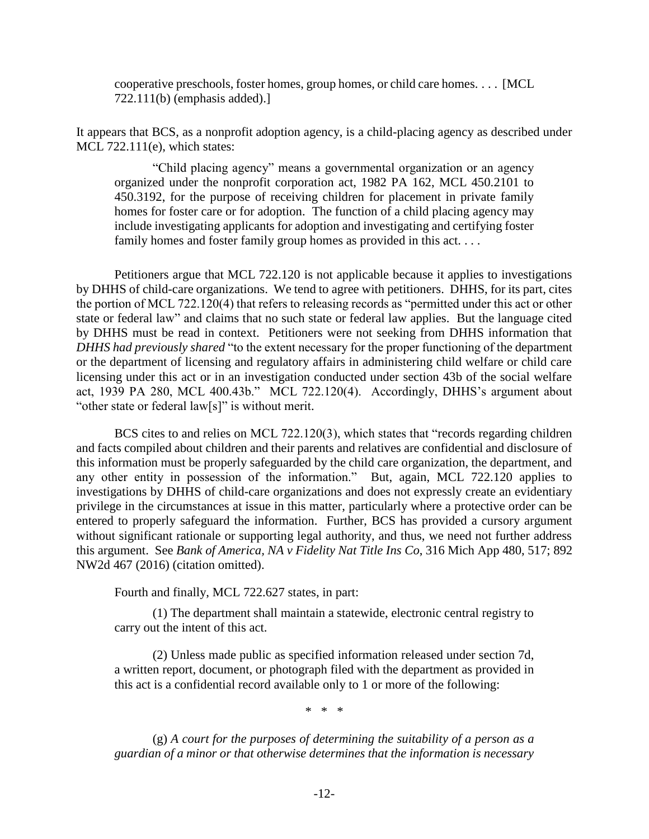cooperative preschools, foster homes, group homes, or child care homes. . . . [MCL 722.111(b) (emphasis added).]

It appears that BCS, as a nonprofit adoption agency, is a child-placing agency as described under MCL 722.111(e), which states:

"Child placing agency" means a governmental organization or an agency organized under the nonprofit corporation act, 1982 PA 162, MCL 450.2101 to 450.3192, for the purpose of receiving children for placement in private family homes for foster care or for adoption. The function of a child placing agency may include investigating applicants for adoption and investigating and certifying foster family homes and foster family group homes as provided in this act. . . .

Petitioners argue that MCL 722.120 is not applicable because it applies to investigations by DHHS of child-care organizations. We tend to agree with petitioners. DHHS, for its part, cites the portion of MCL 722.120(4) that refers to releasing records as "permitted under this act or other state or federal law" and claims that no such state or federal law applies. But the language cited by DHHS must be read in context. Petitioners were not seeking from DHHS information that *DHHS had previously shared* "to the extent necessary for the proper functioning of the department or the department of licensing and regulatory affairs in administering child welfare or child care licensing under this act or in an investigation conducted under section 43b of the social welfare act, 1939 PA 280, MCL 400.43b." MCL 722.120(4). Accordingly, DHHS's argument about "other state or federal law[s]" is without merit.

BCS cites to and relies on MCL 722.120(3), which states that "records regarding children and facts compiled about children and their parents and relatives are confidential and disclosure of this information must be properly safeguarded by the child care organization, the department, and any other entity in possession of the information." But, again, MCL 722.120 applies to investigations by DHHS of child-care organizations and does not expressly create an evidentiary privilege in the circumstances at issue in this matter, particularly where a protective order can be entered to properly safeguard the information. Further, BCS has provided a cursory argument without significant rationale or supporting legal authority, and thus, we need not further address this argument. See *Bank of America, NA v Fidelity Nat Title Ins Co*, 316 Mich App 480, 517; 892 NW2d 467 (2016) (citation omitted).

Fourth and finally, MCL 722.627 states, in part:

(1) The department shall maintain a statewide, electronic central registry to carry out the intent of this act.

(2) Unless made public as specified information released under section 7d, a written report, document, or photograph filed with the department as provided in this act is a confidential record available only to 1 or more of the following:

\* \* \*

(g) *A court for the purposes of determining the suitability of a person as a guardian of a minor or that otherwise determines that the information is necessary*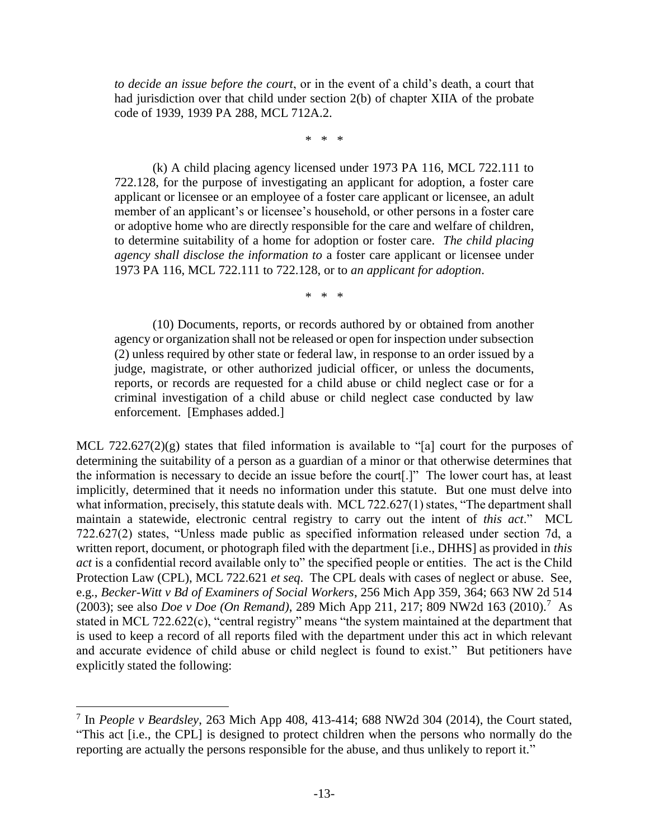*to decide an issue before the court*, or in the event of a child's death, a court that had jurisdiction over that child under section 2(b) of chapter XIIA of the probate code of 1939, 1939 PA 288, MCL 712A.2.

\* \* \*

(k) A child placing agency licensed under 1973 PA 116, MCL 722.111 to 722.128, for the purpose of investigating an applicant for adoption, a foster care applicant or licensee or an employee of a foster care applicant or licensee, an adult member of an applicant's or licensee's household, or other persons in a foster care or adoptive home who are directly responsible for the care and welfare of children, to determine suitability of a home for adoption or foster care. *The child placing agency shall disclose the information to* a foster care applicant or licensee under 1973 PA 116, MCL 722.111 to 722.128, or to *an applicant for adoption*.

\* \* \*

(10) Documents, reports, or records authored by or obtained from another agency or organization shall not be released or open for inspection under subsection (2) unless required by other state or federal law, in response to an order issued by a judge, magistrate, or other authorized judicial officer, or unless the documents, reports, or records are requested for a child abuse or child neglect case or for a criminal investigation of a child abuse or child neglect case conducted by law enforcement. [Emphases added.]

MCL 722.627(2)(g) states that filed information is available to "[a] court for the purposes of determining the suitability of a person as a guardian of a minor or that otherwise determines that the information is necessary to decide an issue before the court[.]" The lower court has, at least implicitly, determined that it needs no information under this statute. But one must delve into what information, precisely, this statute deals with. MCL 722.627(1) states, "The department shall maintain a statewide, electronic central registry to carry out the intent of *this act*." MCL 722.627(2) states, "Unless made public as specified information released under section 7d, a written report, document, or photograph filed with the department [i.e., DHHS] as provided in *this act* is a confidential record available only to" the specified people or entities. The act is the Child Protection Law (CPL), MCL 722.621 *et seq*. The CPL deals with cases of neglect or abuse. See, e.g., *Becker-Witt v Bd of Examiners of Social Workers*, 256 Mich App 359, 364; 663 NW 2d 514 (2003); see also *Doe v Doe (On Remand)*, 289 Mich App 211, 217; 809 NW2d 163 (2010).<sup>7</sup> As stated in MCL 722.622(c), "central registry" means "the system maintained at the department that is used to keep a record of all reports filed with the department under this act in which relevant and accurate evidence of child abuse or child neglect is found to exist." But petitioners have explicitly stated the following:

<sup>7</sup> In *People v Beardsley*, 263 Mich App 408, 413-414; 688 NW2d 304 (2014), the Court stated, "This act [i.e., the CPL] is designed to protect children when the persons who normally do the reporting are actually the persons responsible for the abuse, and thus unlikely to report it."